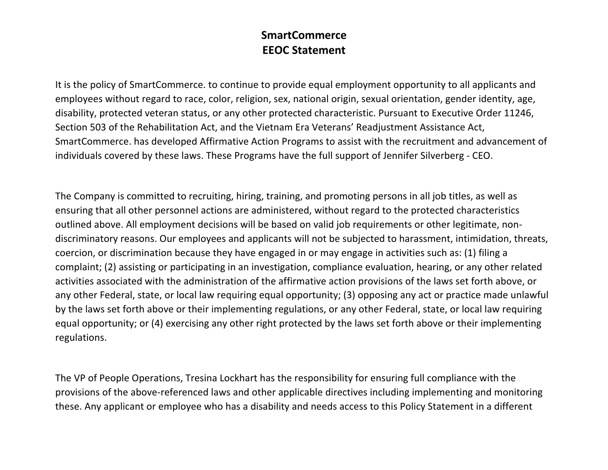## **SmartCommerce EEOC Statement**

It is the policy of SmartCommerce. to continue to provide equal employment opportunity to all applicants and employees without regard to race, color, religion, sex, national origin, sexual orientation, gender identity, age, disability, protected veteran status, or any other protected characteristic. Pursuant to Executive Order 11246, Section 503 of the Rehabilitation Act, and the Vietnam Era Veterans' Readjustment Assistance Act, SmartCommerce. has developed Affirmative Action Programs to assist with the recruitment and advancement of individuals covered by these laws. These Programs have the full support of Jennifer Silverberg - CEO.

The Company is committed to recruiting, hiring, training, and promoting persons in all job titles, as well as ensuring that all other personnel actions are administered, without regard to the protected characteristics outlined above. All employment decisions will be based on valid job requirements or other legitimate, nondiscriminatory reasons. Our employees and applicants will not be subjected to harassment, intimidation, threats, coercion, or discrimination because they have engaged in or may engage in activities such as: (1) filing a complaint; (2) assisting or participating in an investigation, compliance evaluation, hearing, or any other related activities associated with the administration of the affirmative action provisions of the laws set forth above, or any other Federal, state, or local law requiring equal opportunity; (3) opposing any act or practice made unlawful by the laws set forth above or their implementing regulations, or any other Federal, state, or local law requiring equal opportunity; or (4) exercising any other right protected by the laws set forth above or their implementing regulations.

The VP of People Operations, Tresina Lockhart has the responsibility for ensuring full compliance with the provisions of the above-referenced laws and other applicable directives including implementing and monitoring these. Any applicant or employee who has a disability and needs access to this Policy Statement in a different